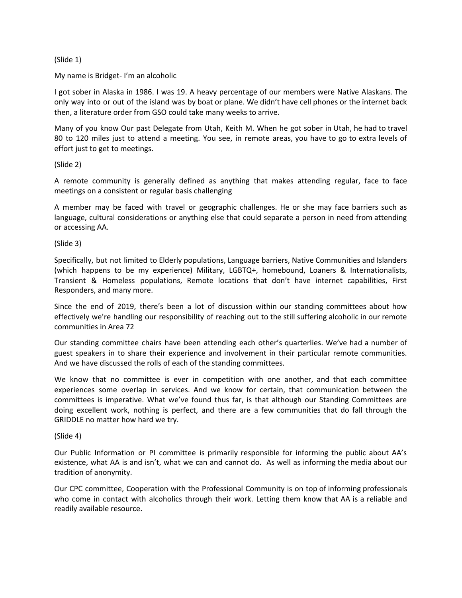## (Slide 1)

### My name is Bridget- I'm an alcoholic

I got sober in Alaska in 1986. I was 19. A heavy percentage of our members were Native Alaskans. The only way into or out of the island was by boat or plane. We didn't have cell phones or the internet back then, a literature order from GSO could take many weeks to arrive.

Many of you know Our past Delegate from Utah, Keith M. When he got sober in Utah, he had to travel 80 to 120 miles just to attend a meeting. You see, in remote areas, you have to go to extra levels of effort just to get to meetings.

## (Slide 2)

A remote community is generally defined as anything that makes attending regular, face to face meetings on a consistent or regular basis challenging

A member may be faced with travel or geographic challenges. He or she may face barriers such as language, cultural considerations or anything else that could separate a person in need from attending or accessing AA.

#### (Slide 3)

Specifically, but not limited to Elderly populations, Language barriers, Native Communities and Islanders (which happens to be my experience) Military, LGBTQ+, homebound, Loaners & Internationalists, Transient & Homeless populations, Remote locations that don't have internet capabilities, First Responders, and many more.

Since the end of 2019, there's been a lot of discussion within our standing committees about how effectively we're handling our responsibility of reaching out to the still suffering alcoholic in our remote communities in Area 72

Our standing committee chairs have been attending each other's quarterlies. We've had a number of guest speakers in to share their experience and involvement in their particular remote communities. And we have discussed the rolls of each of the standing committees.

We know that no committee is ever in competition with one another, and that each committee experiences some overlap in services. And we know for certain, that communication between the committees is imperative. What we've found thus far, is that although our Standing Committees are doing excellent work, nothing is perfect, and there are a few communities that do fall through the GRIDDLE no matter how hard we try.

#### (Slide 4)

Our Public Information or PI committee is primarily responsible for informing the public about AA's existence, what AA is and isn't, what we can and cannot do. As well as informing the media about our tradition of anonymity.

Our CPC committee, Cooperation with the Professional Community is on top of informing professionals who come in contact with alcoholics through their work. Letting them know that AA is a reliable and readily available resource.